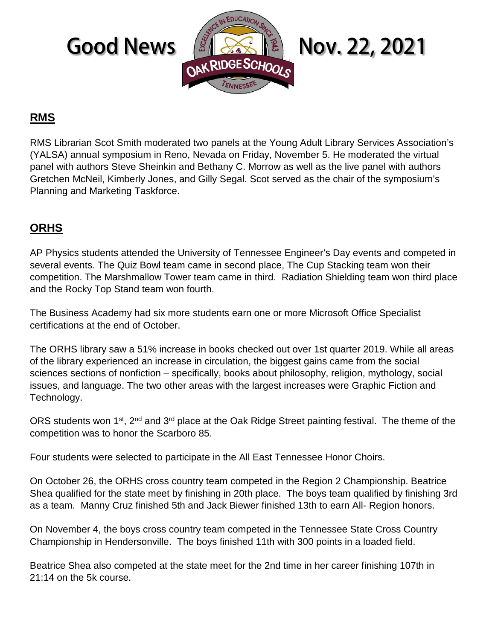

## **RMS**

RMS Librarian Scot Smith moderated two panels at the Young Adult Library Services Association's (YALSA) annual symposium in Reno, Nevada on Friday, November 5. He moderated the virtual panel with authors Steve Sheinkin and Bethany C. Morrow as well as the live panel with authors Gretchen McNeil, Kimberly Jones, and Gilly Segal. Scot served as the chair of the symposium's Planning and Marketing Taskforce.

## **ORHS**

AP Physics students attended the University of Tennessee Engineer's Day events and competed in several events. The Quiz Bowl team came in second place, The Cup Stacking team won their competition. The Marshmallow Tower team came in third. Radiation Shielding team won third place and the Rocky Top Stand team won fourth.

The Business Academy had six more students earn one or more Microsoft Office Specialist certifications at the end of October.

The ORHS library saw a 51% increase in books checked out over 1st quarter 2019. While all areas of the library experienced an increase in circulation, the biggest gains came from the social sciences sections of nonfiction – specifically, books about philosophy, religion, mythology, social issues, and language. The two other areas with the largest increases were Graphic Fiction and Technology.

ORS students won 1<sup>st</sup>, 2<sup>nd</sup> and 3<sup>rd</sup> place at the Oak Ridge Street painting festival. The theme of the competition was to honor the Scarboro 85.

Four students were selected to participate in the All East Tennessee Honor Choirs.

On October 26, the ORHS cross country team competed in the Region 2 Championship. Beatrice Shea qualified for the state meet by finishing in 20th place. The boys team qualified by finishing 3rd as a team. Manny Cruz finished 5th and Jack Biewer finished 13th to earn All- Region honors.

On November 4, the boys cross country team competed in the Tennessee State Cross Country Championship in Hendersonville. The boys finished 11th with 300 points in a loaded field.

Beatrice Shea also competed at the state meet for the 2nd time in her career finishing 107th in 21:14 on the 5k course.